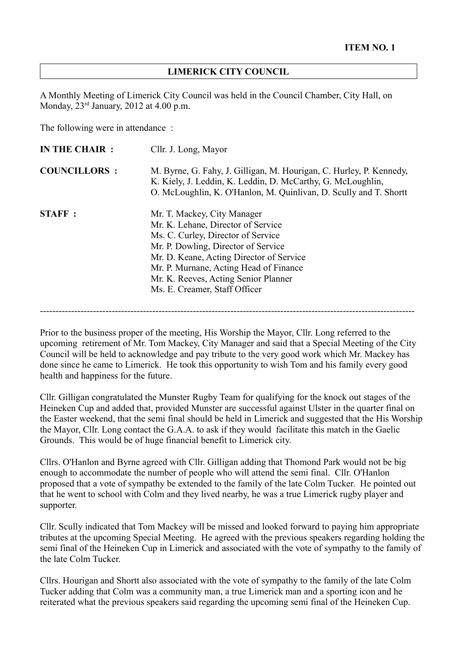#### **LIMERICK CITY COUNCIL**

A Monthly Meeting of Limerick City Council was held in the Council Chamber, City Hall, on Monday,  $23<sup>rd</sup>$  January, 2012 at 4.00 p.m.

The following were in attendance :

| IN THE CHAIR :      | Cllr. J. Long, Mayor                                                                                                                                                                                                                                                                                          |
|---------------------|---------------------------------------------------------------------------------------------------------------------------------------------------------------------------------------------------------------------------------------------------------------------------------------------------------------|
| <b>COUNCILLORS:</b> | M. Byrne, G. Fahy, J. Gilligan, M. Hourigan, C. Hurley, P. Kennedy,<br>K. Kiely, J. Leddin, K. Leddin, D. McCarthy, G. McLoughlin,<br>O. McLoughlin, K. O'Hanlon, M. Quinlivan, D. Scully and T. Shortt                                                                                                       |
| <b>STAFF:</b>       | Mr. T. Mackey, City Manager<br>Mr. K. Lehane, Director of Service<br>Ms. C. Curley, Director of Service<br>Mr. P. Dowling, Director of Service<br>Mr. D. Keane, Acting Director of Service<br>Mr. P. Murnane, Acting Head of Finance<br>Mr. K. Reeves, Acting Senior Planner<br>Ms. E. Creamer, Staff Officer |

------------------------------------------------------------------------------------------------------------------------

Prior to the business proper of the meeting, His Worship the Mayor, Cllr. Long referred to the upcoming retirement of Mr. Tom Mackey, City Manager and said that a Special Meeting of the City Council will be held to acknowledge and pay tribute to the very good work which Mr. Mackey has done since he came to Limerick. He took this opportunity to wish Tom and his family every good health and happiness for the future.

Cllr. Gilligan congratulated the Munster Rugby Team for qualifying for the knock out stages of the Heineken Cup and added that, provided Munster are successful against Ulster in the quarter final on the Easter weekend, that the semi final should be held in Limerick and suggested that the His Worship the Mayor, Cllr. Long contact the G.A.A. to ask if they would facilitate this match in the Gaelic Grounds. This would be of huge financial benefit to Limerick city.

Cllrs. O'Hanlon and Byrne agreed with Cllr. Gilligan adding that Thomond Park would not be big enough to accommodate the number of people who will attend the semi final. Cllr. O'Hanlon proposed that a vote of sympathy be extended to the family of the late Colm Tucker. He pointed out that he went to school with Colm and they lived nearby, he was a true Limerick rugby player and supporter.

Cllr. Scully indicated that Tom Mackey will be missed and looked forward to paying him appropriate tributes at the upcoming Special Meeting. He agreed with the previous speakers regarding holding the semi final of the Heineken Cup in Limerick and associated with the vote of sympathy to the family of the late Colm Tucker.

Cllrs. Hourigan and Shortt also associated with the vote of sympathy to the family of the late Colm Tucker adding that Colm was a community man, a true Limerick man and a sporting icon and he reiterated what the previous speakers said regarding the upcoming semi final of the Heineken Cup.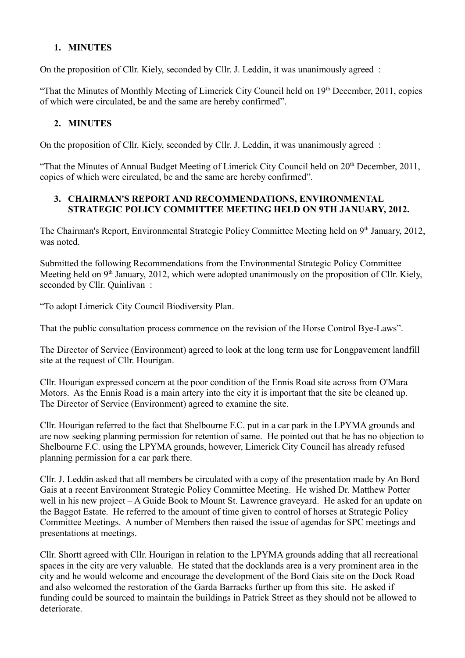# **1. MINUTES**

On the proposition of Cllr. Kiely, seconded by Cllr. J. Leddin, it was unanimously agreed :

"That the Minutes of Monthly Meeting of Limerick City Council held on 19<sup>th</sup> December, 2011, copies of which were circulated, be and the same are hereby confirmed".

## **2. MINUTES**

On the proposition of Cllr. Kiely, seconded by Cllr. J. Leddin, it was unanimously agreed :

"That the Minutes of Annual Budget Meeting of Limerick City Council held on  $20<sup>th</sup>$  December, 2011, copies of which were circulated, be and the same are hereby confirmed".

## **3. CHAIRMAN'S REPORT AND RECOMMENDATIONS, ENVIRONMENTAL STRATEGIC POLICY COMMITTEE MEETING HELD ON 9TH JANUARY, 2012.**

The Chairman's Report, Environmental Strategic Policy Committee Meeting held on 9<sup>th</sup> January, 2012, was noted.

Submitted the following Recommendations from the Environmental Strategic Policy Committee Meeting held on  $9<sup>th</sup>$  January, 2012, which were adopted unanimously on the proposition of Cllr. Kiely, seconded by Cllr. Quinlivan :

"To adopt Limerick City Council Biodiversity Plan.

That the public consultation process commence on the revision of the Horse Control Bye-Laws".

The Director of Service (Environment) agreed to look at the long term use for Longpavement landfill site at the request of Cllr. Hourigan.

Cllr. Hourigan expressed concern at the poor condition of the Ennis Road site across from O'Mara Motors. As the Ennis Road is a main artery into the city it is important that the site be cleaned up. The Director of Service (Environment) agreed to examine the site.

Cllr. Hourigan referred to the fact that Shelbourne F.C. put in a car park in the LPYMA grounds and are now seeking planning permission for retention of same. He pointed out that he has no objection to Shelbourne F.C. using the LPYMA grounds, however, Limerick City Council has already refused planning permission for a car park there.

Cllr. J. Leddin asked that all members be circulated with a copy of the presentation made by An Bord Gais at a recent Environment Strategic Policy Committee Meeting. He wished Dr. Matthew Potter well in his new project – A Guide Book to Mount St. Lawrence graveyard. He asked for an update on the Baggot Estate. He referred to the amount of time given to control of horses at Strategic Policy Committee Meetings. A number of Members then raised the issue of agendas for SPC meetings and presentations at meetings.

Cllr. Shortt agreed with Cllr. Hourigan in relation to the LPYMA grounds adding that all recreational spaces in the city are very valuable. He stated that the docklands area is a very prominent area in the city and he would welcome and encourage the development of the Bord Gais site on the Dock Road and also welcomed the restoration of the Garda Barracks further up from this site. He asked if funding could be sourced to maintain the buildings in Patrick Street as they should not be allowed to deteriorate.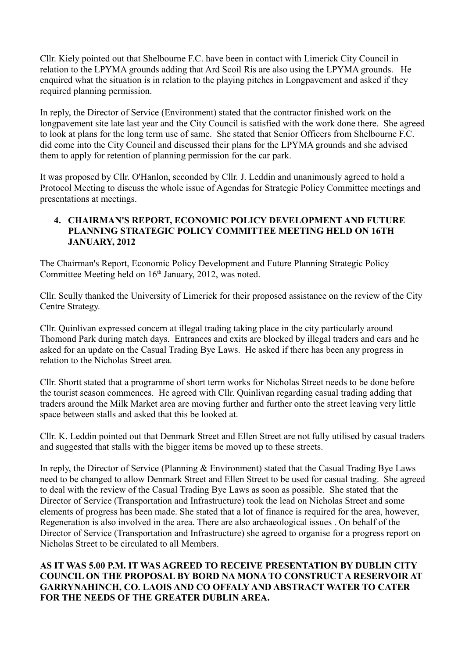Cllr. Kiely pointed out that Shelbourne F.C. have been in contact with Limerick City Council in relation to the LPYMA grounds adding that Ard Scoil Ris are also using the LPYMA grounds. He enquired what the situation is in relation to the playing pitches in Longpavement and asked if they required planning permission.

In reply, the Director of Service (Environment) stated that the contractor finished work on the longpavement site late last year and the City Council is satisfied with the work done there. She agreed to look at plans for the long term use of same. She stated that Senior Officers from Shelbourne F.C. did come into the City Council and discussed their plans for the LPYMA grounds and she advised them to apply for retention of planning permission for the car park.

It was proposed by Cllr. O'Hanlon, seconded by Cllr. J. Leddin and unanimously agreed to hold a Protocol Meeting to discuss the whole issue of Agendas for Strategic Policy Committee meetings and presentations at meetings.

## **4. CHAIRMAN'S REPORT, ECONOMIC POLICY DEVELOPMENT AND FUTURE PLANNING STRATEGIC POLICY COMMITTEE MEETING HELD ON 16TH JANUARY, 2012**

The Chairman's Report, Economic Policy Development and Future Planning Strategic Policy Committee Meeting held on  $16<sup>th</sup>$  January, 2012, was noted.

Cllr. Scully thanked the University of Limerick for their proposed assistance on the review of the City Centre Strategy.

Cllr. Quinlivan expressed concern at illegal trading taking place in the city particularly around Thomond Park during match days. Entrances and exits are blocked by illegal traders and cars and he asked for an update on the Casual Trading Bye Laws. He asked if there has been any progress in relation to the Nicholas Street area.

Cllr. Shortt stated that a programme of short term works for Nicholas Street needs to be done before the tourist season commences. He agreed with Cllr. Quinlivan regarding casual trading adding that traders around the Milk Market area are moving further and further onto the street leaving very little space between stalls and asked that this be looked at.

Cllr. K. Leddin pointed out that Denmark Street and Ellen Street are not fully utilised by casual traders and suggested that stalls with the bigger items be moved up to these streets.

In reply, the Director of Service (Planning & Environment) stated that the Casual Trading Bye Laws need to be changed to allow Denmark Street and Ellen Street to be used for casual trading. She agreed to deal with the review of the Casual Trading Bye Laws as soon as possible. She stated that the Director of Service (Transportation and Infrastructure) took the lead on Nicholas Street and some elements of progress has been made. She stated that a lot of finance is required for the area, however, Regeneration is also involved in the area. There are also archaeological issues . On behalf of the Director of Service (Transportation and Infrastructure) she agreed to organise for a progress report on Nicholas Street to be circulated to all Members.

## **AS IT WAS 5.00 P.M. IT WAS AGREED TO RECEIVE PRESENTATION BY DUBLIN CITY COUNCIL ON THE PROPOSAL BY BORD NA MONA TO CONSTRUCT A RESERVOIR AT GARRYNAHINCH, CO. LAOIS AND CO OFFALY AND ABSTRACT WATER TO CATER FOR THE NEEDS OF THE GREATER DUBLIN AREA.**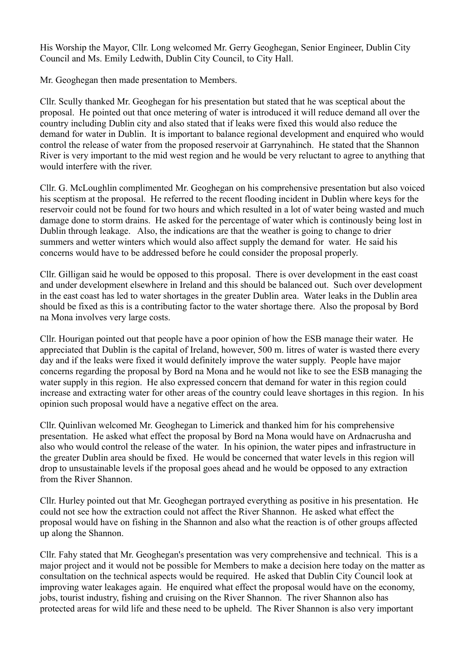His Worship the Mayor, Cllr. Long welcomed Mr. Gerry Geoghegan, Senior Engineer, Dublin City Council and Ms. Emily Ledwith, Dublin City Council, to City Hall.

Mr. Geoghegan then made presentation to Members.

Cllr. Scully thanked Mr. Geoghegan for his presentation but stated that he was sceptical about the proposal. He pointed out that once metering of water is introduced it will reduce demand all over the country including Dublin city and also stated that if leaks were fixed this would also reduce the demand for water in Dublin. It is important to balance regional development and enquired who would control the release of water from the proposed reservoir at Garrynahinch. He stated that the Shannon River is very important to the mid west region and he would be very reluctant to agree to anything that would interfere with the river.

Cllr. G. McLoughlin complimented Mr. Geoghegan on his comprehensive presentation but also voiced his sceptism at the proposal. He referred to the recent flooding incident in Dublin where keys for the reservoir could not be found for two hours and which resulted in a lot of water being wasted and much damage done to storm drains. He asked for the percentage of water which is continously being lost in Dublin through leakage. Also, the indications are that the weather is going to change to drier summers and wetter winters which would also affect supply the demand for water. He said his concerns would have to be addressed before he could consider the proposal properly.

Cllr. Gilligan said he would be opposed to this proposal. There is over development in the east coast and under development elsewhere in Ireland and this should be balanced out. Such over development in the east coast has led to water shortages in the greater Dublin area. Water leaks in the Dublin area should be fixed as this is a contributing factor to the water shortage there. Also the proposal by Bord na Mona involves very large costs.

Cllr. Hourigan pointed out that people have a poor opinion of how the ESB manage their water. He appreciated that Dublin is the capital of Ireland, however, 500 m. litres of water is wasted there every day and if the leaks were fixed it would definitely improve the water supply. People have major concerns regarding the proposal by Bord na Mona and he would not like to see the ESB managing the water supply in this region. He also expressed concern that demand for water in this region could increase and extracting water for other areas of the country could leave shortages in this region. In his opinion such proposal would have a negative effect on the area.

Cllr. Quinlivan welcomed Mr. Geoghegan to Limerick and thanked him for his comprehensive presentation. He asked what effect the proposal by Bord na Mona would have on Ardnacrusha and also who would control the release of the water. In his opinion, the water pipes and infrastructure in the greater Dublin area should be fixed. He would be concerned that water levels in this region will drop to unsustainable levels if the proposal goes ahead and he would be opposed to any extraction from the River Shannon.

Cllr. Hurley pointed out that Mr. Geoghegan portrayed everything as positive in his presentation. He could not see how the extraction could not affect the River Shannon. He asked what effect the proposal would have on fishing in the Shannon and also what the reaction is of other groups affected up along the Shannon.

Cllr. Fahy stated that Mr. Geoghegan's presentation was very comprehensive and technical. This is a major project and it would not be possible for Members to make a decision here today on the matter as consultation on the technical aspects would be required. He asked that Dublin City Council look at improving water leakages again. He enquired what effect the proposal would have on the economy, jobs, tourist industry, fishing and cruising on the River Shannon. The river Shannon also has protected areas for wild life and these need to be upheld. The River Shannon is also very important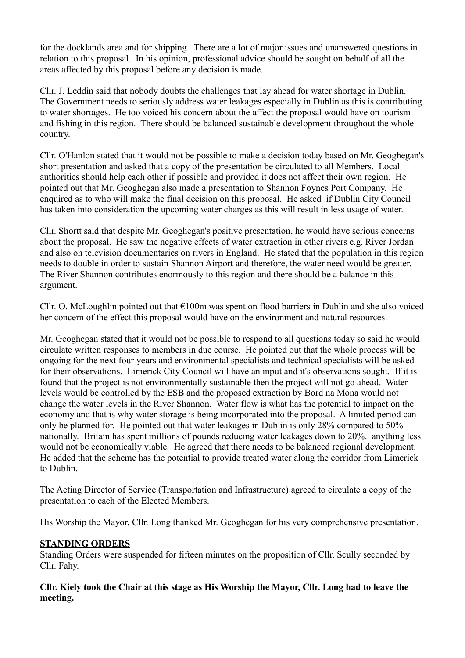for the docklands area and for shipping. There are a lot of major issues and unanswered questions in relation to this proposal. In his opinion, professional advice should be sought on behalf of all the areas affected by this proposal before any decision is made.

Cllr. J. Leddin said that nobody doubts the challenges that lay ahead for water shortage in Dublin. The Government needs to seriously address water leakages especially in Dublin as this is contributing to water shortages. He too voiced his concern about the affect the proposal would have on tourism and fishing in this region. There should be balanced sustainable development throughout the whole country.

Cllr. O'Hanlon stated that it would not be possible to make a decision today based on Mr. Geoghegan's short presentation and asked that a copy of the presentation be circulated to all Members. Local authorities should help each other if possible and provided it does not affect their own region. He pointed out that Mr. Geoghegan also made a presentation to Shannon Foynes Port Company. He enquired as to who will make the final decision on this proposal. He asked if Dublin City Council has taken into consideration the upcoming water charges as this will result in less usage of water.

Cllr. Shortt said that despite Mr. Geoghegan's positive presentation, he would have serious concerns about the proposal. He saw the negative effects of water extraction in other rivers e.g. River Jordan and also on television documentaries on rivers in England. He stated that the population in this region needs to double in order to sustain Shannon Airport and therefore, the water need would be greater. The River Shannon contributes enormously to this region and there should be a balance in this argument.

Cllr. O. McLoughlin pointed out that  $E100m$  was spent on flood barriers in Dublin and she also voiced her concern of the effect this proposal would have on the environment and natural resources.

Mr. Geoghegan stated that it would not be possible to respond to all questions today so said he would circulate written responses to members in due course. He pointed out that the whole process will be ongoing for the next four years and environmental specialists and technical specialists will be asked for their observations. Limerick City Council will have an input and it's observations sought. If it is found that the project is not environmentally sustainable then the project will not go ahead. Water levels would be controlled by the ESB and the proposed extraction by Bord na Mona would not change the water levels in the River Shannon. Water flow is what has the potential to impact on the economy and that is why water storage is being incorporated into the proposal. A limited period can only be planned for. He pointed out that water leakages in Dublin is only 28% compared to 50% nationally. Britain has spent millions of pounds reducing water leakages down to 20%. anything less would not be economically viable. He agreed that there needs to be balanced regional development. He added that the scheme has the potential to provide treated water along the corridor from Limerick to Dublin.

The Acting Director of Service (Transportation and Infrastructure) agreed to circulate a copy of the presentation to each of the Elected Members.

His Worship the Mayor, Cllr. Long thanked Mr. Geoghegan for his very comprehensive presentation.

# **STANDING ORDERS**

Standing Orders were suspended for fifteen minutes on the proposition of Cllr. Scully seconded by Cllr. Fahy.

**Cllr. Kiely took the Chair at this stage as His Worship the Mayor, Cllr. Long had to leave the meeting.**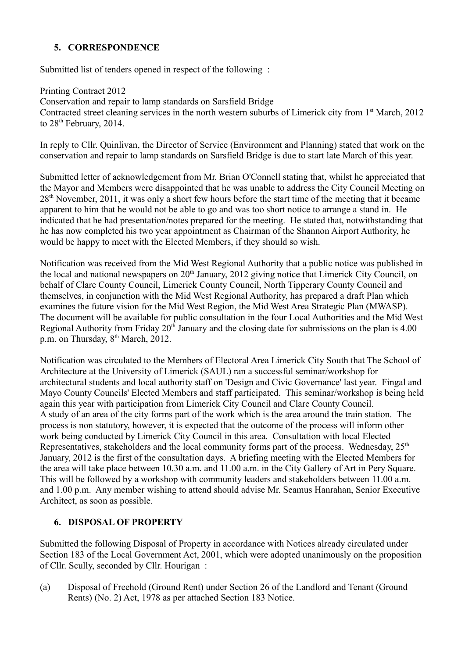# **5. CORRESPONDENCE**

Submitted list of tenders opened in respect of the following :

Printing Contract 2012 Conservation and repair to lamp standards on Sarsfield Bridge Contracted street cleaning services in the north western suburbs of Limerick city from 1<sup>st</sup> March, 2012 to 28<sup>th</sup> February, 2014.

In reply to Cllr. Quinlivan, the Director of Service (Environment and Planning) stated that work on the conservation and repair to lamp standards on Sarsfield Bridge is due to start late March of this year.

Submitted letter of acknowledgement from Mr. Brian O'Connell stating that, whilst he appreciated that the Mayor and Members were disappointed that he was unable to address the City Council Meeting on 28th November, 2011, it was only a short few hours before the start time of the meeting that it became apparent to him that he would not be able to go and was too short notice to arrange a stand in. He indicated that he had presentation/notes prepared for the meeting. He stated that, notwithstanding that he has now completed his two year appointment as Chairman of the Shannon Airport Authority, he would be happy to meet with the Elected Members, if they should so wish.

Notification was received from the Mid West Regional Authority that a public notice was published in the local and national newspapers on  $20<sup>th</sup>$  January, 2012 giving notice that Limerick City Council, on behalf of Clare County Council, Limerick County Council, North Tipperary County Council and themselves, in conjunction with the Mid West Regional Authority, has prepared a draft Plan which examines the future vision for the Mid West Region, the Mid West Area Strategic Plan (MWASP). The document will be available for public consultation in the four Local Authorities and the Mid West Regional Authority from Friday  $20<sup>th</sup>$  January and the closing date for submissions on the plan is 4.00 p.m. on Thursday, 8<sup>th</sup> March, 2012.

Notification was circulated to the Members of Electoral Area Limerick City South that The School of Architecture at the University of Limerick (SAUL) ran a successful seminar/workshop for architectural students and local authority staff on 'Design and Civic Governance' last year. Fingal and Mayo County Councils' Elected Members and staff participated. This seminar/workshop is being held again this year with participation from Limerick City Council and Clare County Council. A study of an area of the city forms part of the work which is the area around the train station. The process is non statutory, however, it is expected that the outcome of the process will inform other work being conducted by Limerick City Council in this area. Consultation with local Elected Representatives, stakeholders and the local community forms part of the process. Wednesday,  $25<sup>th</sup>$ January, 2012 is the first of the consultation days. A briefing meeting with the Elected Members for the area will take place between 10.30 a.m. and 11.00 a.m. in the City Gallery of Art in Pery Square. This will be followed by a workshop with community leaders and stakeholders between 11.00 a.m. and 1.00 p.m. Any member wishing to attend should advise Mr. Seamus Hanrahan, Senior Executive Architect, as soon as possible.

# **6. DISPOSAL OF PROPERTY**

Submitted the following Disposal of Property in accordance with Notices already circulated under Section 183 of the Local Government Act, 2001, which were adopted unanimously on the proposition of Cllr. Scully, seconded by Cllr. Hourigan :

(a) Disposal of Freehold (Ground Rent) under Section 26 of the Landlord and Tenant (Ground Rents) (No. 2) Act, 1978 as per attached Section 183 Notice.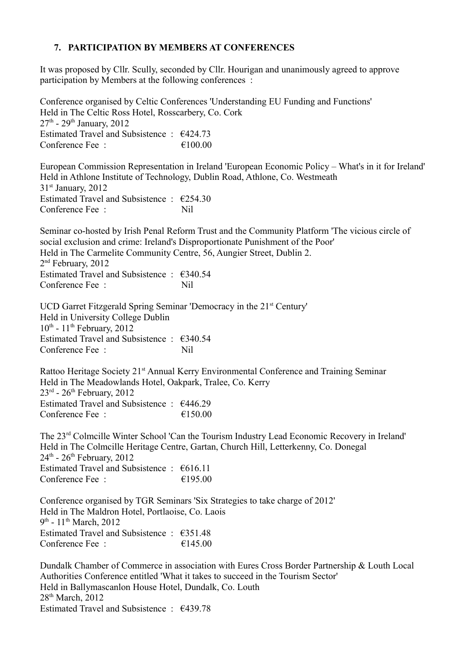## **7. PARTICIPATION BY MEMBERS AT CONFERENCES**

It was proposed by Cllr. Scully, seconded by Cllr. Hourigan and unanimously agreed to approve participation by Members at the following conferences :

Conference organised by Celtic Conferences 'Understanding EU Funding and Functions' Held in The Celtic Ross Hotel, Rosscarbery, Co. Cork  $27<sup>th</sup>$  -  $29<sup>th</sup>$  January,  $2012$ Estimated Travel and Subsistence :  $\epsilon$ 424.73 Conference Fee :  $\epsilon$  100.00

European Commission Representation in Ireland 'European Economic Policy – What's in it for Ireland' Held in Athlone Institute of Technology, Dublin Road, Athlone, Co. Westmeath 31st January, 2012 Estimated Travel and Subsistence :  $\epsilon$ 254.30 Conference Fee : Nil

Seminar co-hosted by Irish Penal Reform Trust and the Community Platform 'The vicious circle of social exclusion and crime: Ireland's Disproportionate Punishment of the Poor' Held in The Carmelite Community Centre, 56, Aungier Street, Dublin 2. 2 nd February, 2012 Estimated Travel and Subsistence  $\cdot$  €340.54 Conference Fee : Nil

UCD Garret Fitzgerald Spring Seminar 'Democracy in the 21<sup>st</sup> Century' Held in University College Dublin  $10^{th}$  -  $11^{th}$  February, 2012 Estimated Travel and Subsistence : €340.54 Conference Fee : Nil

Rattoo Heritage Society 21<sup>st</sup> Annual Kerry Environmental Conference and Training Seminar Held in The Meadowlands Hotel, Oakpark, Tralee, Co. Kerry  $23<sup>rd</sup>$  -  $26<sup>th</sup>$  February, 2012 Estimated Travel and Subsistence : €446.29 Conference Fee :  $\epsilon$  150.00

The 23rd Colmcille Winter School 'Can the Tourism Industry Lead Economic Recovery in Ireland' Held in The Colmcille Heritage Centre, Gartan, Church Hill, Letterkenny, Co. Donegal  $24<sup>th</sup>$  -  $26<sup>th</sup>$  February, 2012 Estimated Travel and Subsistence : €616.11 Conference Fee :  $\epsilon$  195.00

Conference organised by TGR Seminars 'Six Strategies to take charge of 2012' Held in The Maldron Hotel, Portlaoise, Co. Laois 9<sup>th</sup> - 11<sup>th</sup> March, 2012 Estimated Travel and Subsistence : €351.48 Conference Fee  $\cdot$   $\epsilon$  145.00

Dundalk Chamber of Commerce in association with Eures Cross Border Partnership & Louth Local Authorities Conference entitled 'What it takes to succeed in the Tourism Sector' Held in Ballymascanlon House Hotel, Dundalk, Co. Louth 28<sup>th</sup> March, 2012 Estimated Travel and Subsistence : €439.78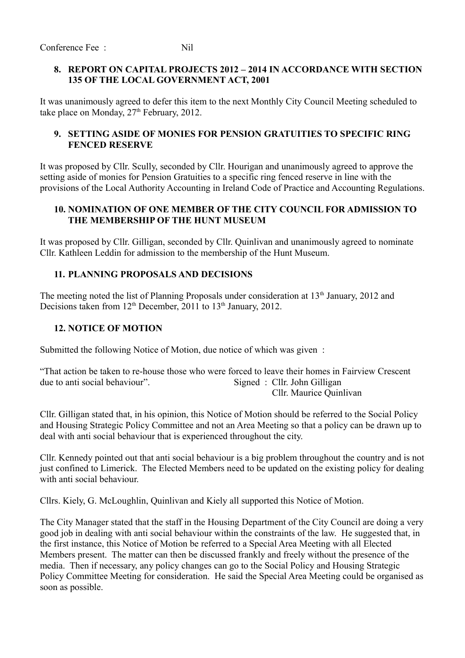#### **8. REPORT ON CAPITAL PROJECTS 2012 – 2014 IN ACCORDANCE WITH SECTION 135 OF THE LOCAL GOVERNMENT ACT, 2001**

It was unanimously agreed to defer this item to the next Monthly City Council Meeting scheduled to take place on Monday,  $27<sup>th</sup>$  February, 2012.

#### **9. SETTING ASIDE OF MONIES FOR PENSION GRATUITIES TO SPECIFIC RING FENCED RESERVE**

It was proposed by Cllr. Scully, seconded by Cllr. Hourigan and unanimously agreed to approve the setting aside of monies for Pension Gratuities to a specific ring fenced reserve in line with the provisions of the Local Authority Accounting in Ireland Code of Practice and Accounting Regulations.

#### **10. NOMINATION OF ONE MEMBER OF THE CITY COUNCIL FOR ADMISSION TO THE MEMBERSHIP OF THE HUNT MUSEUM**

It was proposed by Cllr. Gilligan, seconded by Cllr. Quinlivan and unanimously agreed to nominate Cllr. Kathleen Leddin for admission to the membership of the Hunt Museum.

### **11. PLANNING PROPOSALS AND DECISIONS**

The meeting noted the list of Planning Proposals under consideration at 13<sup>th</sup> January, 2012 and Decisions taken from  $12<sup>th</sup>$  December, 2011 to  $13<sup>th</sup>$  January, 2012.

### **12. NOTICE OF MOTION**

Submitted the following Notice of Motion, due notice of which was given :

"That action be taken to re-house those who were forced to leave their homes in Fairview Crescent due to anti social behaviour". Signed : Cllr. John Gilligan Cllr. Maurice Quinlivan

Cllr. Gilligan stated that, in his opinion, this Notice of Motion should be referred to the Social Policy and Housing Strategic Policy Committee and not an Area Meeting so that a policy can be drawn up to deal with anti social behaviour that is experienced throughout the city.

Cllr. Kennedy pointed out that anti social behaviour is a big problem throughout the country and is not just confined to Limerick. The Elected Members need to be updated on the existing policy for dealing with anti social behaviour.

Cllrs. Kiely, G. McLoughlin, Quinlivan and Kiely all supported this Notice of Motion.

The City Manager stated that the staff in the Housing Department of the City Council are doing a very good job in dealing with anti social behaviour within the constraints of the law. He suggested that, in the first instance, this Notice of Motion be referred to a Special Area Meeting with all Elected Members present. The matter can then be discussed frankly and freely without the presence of the media. Then if necessary, any policy changes can go to the Social Policy and Housing Strategic Policy Committee Meeting for consideration. He said the Special Area Meeting could be organised as soon as possible.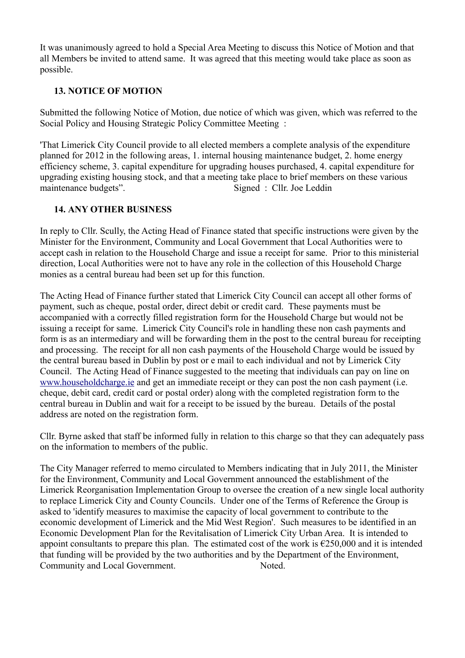It was unanimously agreed to hold a Special Area Meeting to discuss this Notice of Motion and that all Members be invited to attend same. It was agreed that this meeting would take place as soon as possible.

## **13. NOTICE OF MOTION**

Submitted the following Notice of Motion, due notice of which was given, which was referred to the Social Policy and Housing Strategic Policy Committee Meeting :

'That Limerick City Council provide to all elected members a complete analysis of the expenditure planned for 2012 in the following areas, 1. internal housing maintenance budget, 2. home energy efficiency scheme, 3. capital expenditure for upgrading houses purchased, 4. capital expenditure for upgrading existing housing stock, and that a meeting take place to brief members on these various maintenance budgets". Signed : Cllr. Joe Leddin

### **14. ANY OTHER BUSINESS**

In reply to Cllr. Scully, the Acting Head of Finance stated that specific instructions were given by the Minister for the Environment, Community and Local Government that Local Authorities were to accept cash in relation to the Household Charge and issue a receipt for same. Prior to this ministerial direction, Local Authorities were not to have any role in the collection of this Household Charge monies as a central bureau had been set up for this function.

The Acting Head of Finance further stated that Limerick City Council can accept all other forms of payment, such as cheque, postal order, direct debit or credit card. These payments must be accompanied with a correctly filled registration form for the Household Charge but would not be issuing a receipt for same. Limerick City Council's role in handling these non cash payments and form is as an intermediary and will be forwarding them in the post to the central bureau for receipting and processing. The receipt for all non cash payments of the Household Charge would be issued by the central bureau based in Dublin by post or e mail to each individual and not by Limerick City Council. The Acting Head of Finance suggested to the meeting that individuals can pay on line on [www.householdcharge.ie](http://www.householdcharge.ie/) and get an immediate receipt or they can post the non cash payment (i.e. cheque, debit card, credit card or postal order) along with the completed registration form to the central bureau in Dublin and wait for a receipt to be issued by the bureau. Details of the postal address are noted on the registration form.

Cllr. Byrne asked that staff be informed fully in relation to this charge so that they can adequately pass on the information to members of the public.

The City Manager referred to memo circulated to Members indicating that in July 2011, the Minister for the Environment, Community and Local Government announced the establishment of the Limerick Reorganisation Implementation Group to oversee the creation of a new single local authority to replace Limerick City and County Councils. Under one of the Terms of Reference the Group is asked to 'identify measures to maximise the capacity of local government to contribute to the economic development of Limerick and the Mid West Region'. Such measures to be identified in an Economic Development Plan for the Revitalisation of Limerick City Urban Area. It is intended to appoint consultants to prepare this plan. The estimated cost of the work is  $\epsilon$ 250,000 and it is intended that funding will be provided by the two authorities and by the Department of the Environment, Community and Local Government. Noted.